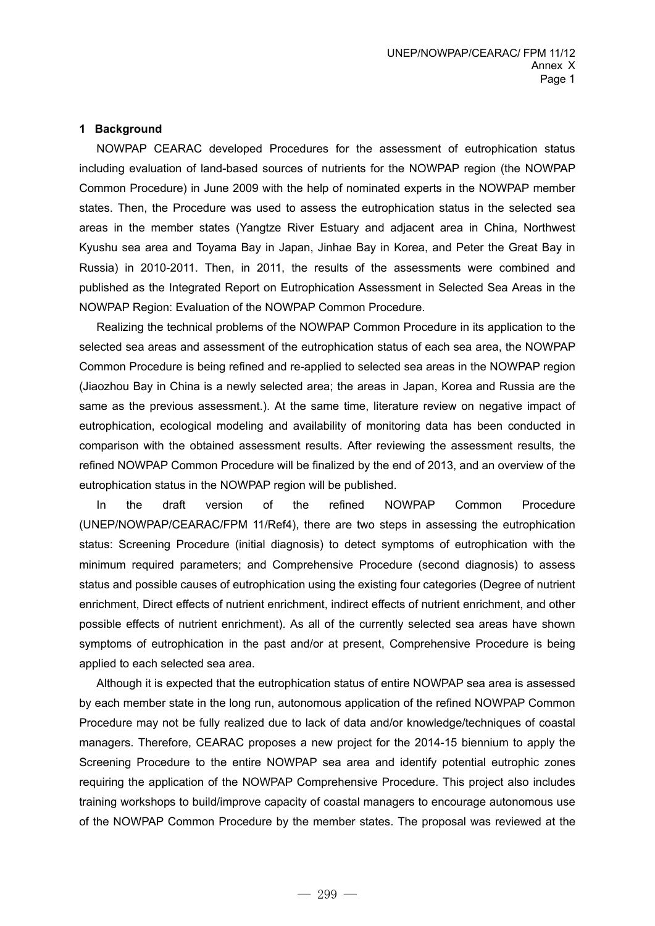#### **1 Background**

NOWPAP CEARAC developed Procedures for the assessment of eutrophication status including evaluation of land-based sources of nutrients for the NOWPAP region (the NOWPAP Common Procedure) in June 2009 with the help of nominated experts in the NOWPAP member states. Then, the Procedure was used to assess the eutrophication status in the selected sea areas in the member states (Yangtze River Estuary and adjacent area in China, Northwest Kyushu sea area and Toyama Bay in Japan, Jinhae Bay in Korea, and Peter the Great Bay in Russia) in 2010-2011. Then, in 2011, the results of the assessments were combined and published as the Integrated Report on Eutrophication Assessment in Selected Sea Areas in the NOWPAP Region: Evaluation of the NOWPAP Common Procedure.

Realizing the technical problems of the NOWPAP Common Procedure in its application to the selected sea areas and assessment of the eutrophication status of each sea area, the NOWPAP Common Procedure is being refined and re-applied to selected sea areas in the NOWPAP region (Jiaozhou Bay in China is a newly selected area; the areas in Japan, Korea and Russia are the same as the previous assessment.). At the same time, literature review on negative impact of eutrophication, ecological modeling and availability of monitoring data has been conducted in comparison with the obtained assessment results. After reviewing the assessment results, the refined NOWPAP Common Procedure will be finalized by the end of 2013, and an overview of the eutrophication status in the NOWPAP region will be published.

In the draft version of the refined NOWPAP Common Procedure (UNEP/NOWPAP/CEARAC/FPM 11/Ref4), there are two steps in assessing the eutrophication status: Screening Procedure (initial diagnosis) to detect symptoms of eutrophication with the minimum required parameters; and Comprehensive Procedure (second diagnosis) to assess status and possible causes of eutrophication using the existing four categories (Degree of nutrient enrichment, Direct effects of nutrient enrichment, indirect effects of nutrient enrichment, and other possible effects of nutrient enrichment). As all of the currently selected sea areas have shown symptoms of eutrophication in the past and/or at present, Comprehensive Procedure is being applied to each selected sea area.

Although it is expected that the eutrophication status of entire NOWPAP sea area is assessed by each member state in the long run, autonomous application of the refined NOWPAP Common Procedure may not be fully realized due to lack of data and/or knowledge/techniques of coastal managers. Therefore, CEARAC proposes a new project for the 2014-15 biennium to apply the Screening Procedure to the entire NOWPAP sea area and identify potential eutrophic zones requiring the application of the NOWPAP Comprehensive Procedure. This project also includes training workshops to build/improve capacity of coastal managers to encourage autonomous use of the NOWPAP Common Procedure by the member states. The proposal was reviewed at the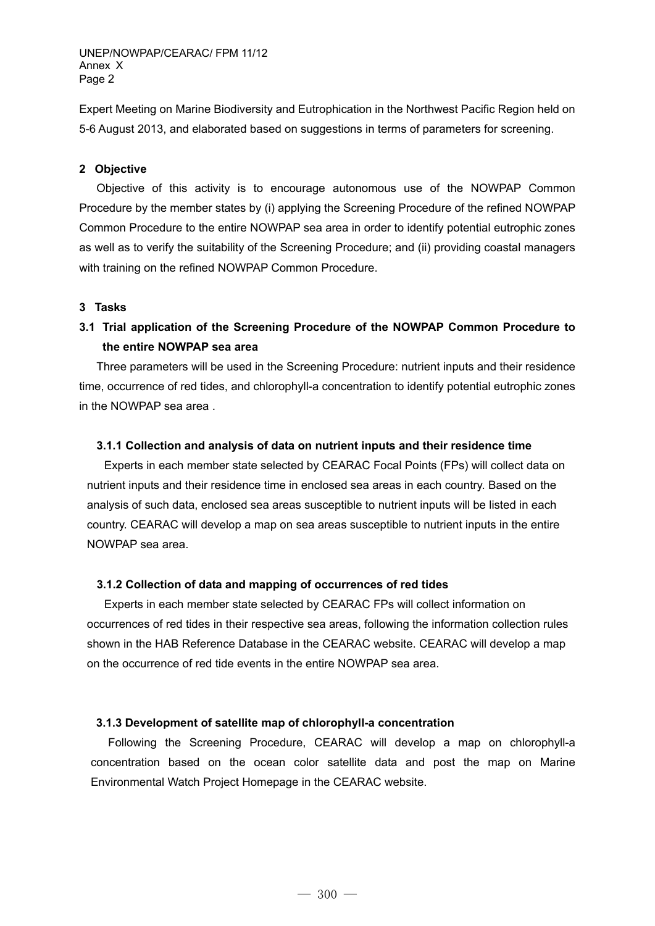UNEP/NOWPAP/CEARAC/ FPM 11/12 Annex X Page 2

Expert Meeting on Marine Biodiversity and Eutrophication in the Northwest Pacific Region held on 5-6 August 2013, and elaborated based on suggestions in terms of parameters for screening.

### **2 Objective**

Objective of this activity is to encourage autonomous use of the NOWPAP Common Procedure by the member states by (i) applying the Screening Procedure of the refined NOWPAP Common Procedure to the entire NOWPAP sea area in order to identify potential eutrophic zones as well as to verify the suitability of the Screening Procedure; and (ii) providing coastal managers with training on the refined NOWPAP Common Procedure.

## **3 Tasks**

**3.1 Trial application of the Screening Procedure of the NOWPAP Common Procedure to the entire NOWPAP sea area** 

Three parameters will be used in the Screening Procedure: nutrient inputs and their residence time, occurrence of red tides, and chlorophyll-a concentration to identify potential eutrophic zones in the NOWPAP sea area .

### **3.1.1 Collection and analysis of data on nutrient inputs and their residence time**

Experts in each member state selected by CEARAC Focal Points (FPs) will collect data on nutrient inputs and their residence time in enclosed sea areas in each country. Based on the analysis of such data, enclosed sea areas susceptible to nutrient inputs will be listed in each country. CEARAC will develop a map on sea areas susceptible to nutrient inputs in the entire NOWPAP sea area.

### **3.1.2 Collection of data and mapping of occurrences of red tides**

Experts in each member state selected by CEARAC FPs will collect information on occurrences of red tides in their respective sea areas, following the information collection rules shown in the HAB Reference Database in the CEARAC website. CEARAC will develop a map on the occurrence of red tide events in the entire NOWPAP sea area.

### **3.1.3 Development of satellite map of chlorophyll-a concentration**

Following the Screening Procedure, CEARAC will develop a map on chlorophyll-a concentration based on the ocean color satellite data and post the map on Marine Environmental Watch Project Homepage in the CEARAC website.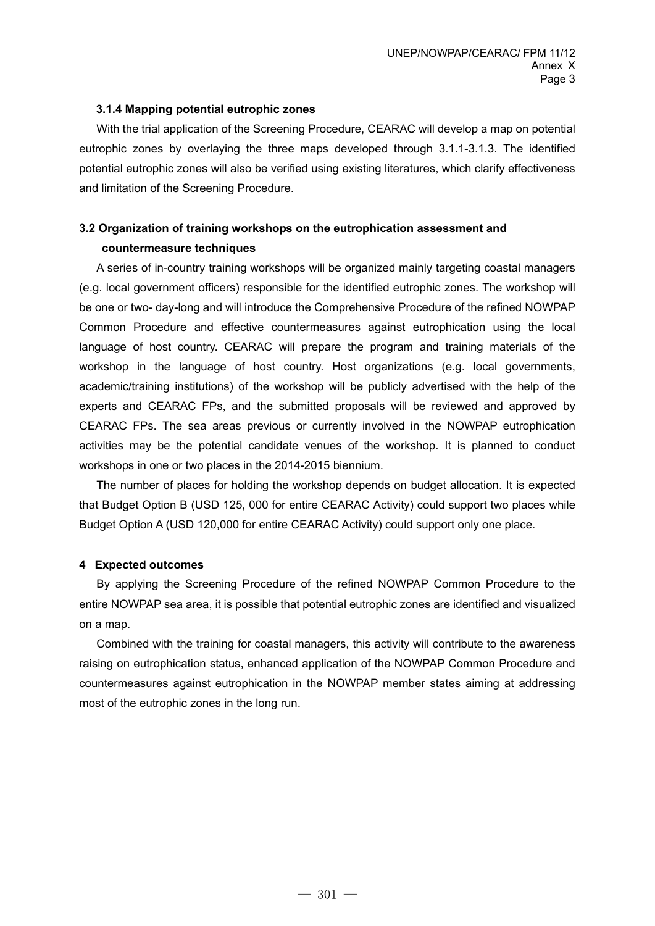## **3.1.4 Mapping potential eutrophic zones**

With the trial application of the Screening Procedure, CEARAC will develop a map on potential eutrophic zones by overlaying the three maps developed through 3.1.1-3.1.3. The identified potential eutrophic zones will also be verified using existing literatures, which clarify effectiveness and limitation of the Screening Procedure.

# **3.2 Organization of training workshops on the eutrophication assessment and**

## **countermeasure techniques**

A series of in-country training workshops will be organized mainly targeting coastal managers (e.g. local government officers) responsible for the identified eutrophic zones. The workshop will be one or two- day-long and will introduce the Comprehensive Procedure of the refined NOWPAP Common Procedure and effective countermeasures against eutrophication using the local language of host country. CEARAC will prepare the program and training materials of the workshop in the language of host country. Host organizations (e.g. local governments, academic/training institutions) of the workshop will be publicly advertised with the help of the experts and CEARAC FPs, and the submitted proposals will be reviewed and approved by CEARAC FPs. The sea areas previous or currently involved in the NOWPAP eutrophication activities may be the potential candidate venues of the workshop. It is planned to conduct workshops in one or two places in the 2014-2015 biennium.

The number of places for holding the workshop depends on budget allocation. It is expected that Budget Option B (USD 125, 000 for entire CEARAC Activity) could support two places while Budget Option A (USD 120,000 for entire CEARAC Activity) could support only one place.

## **4 Expected outcomes**

By applying the Screening Procedure of the refined NOWPAP Common Procedure to the entire NOWPAP sea area, it is possible that potential eutrophic zones are identified and visualized on a map.

Combined with the training for coastal managers, this activity will contribute to the awareness raising on eutrophication status, enhanced application of the NOWPAP Common Procedure and countermeasures against eutrophication in the NOWPAP member states aiming at addressing most of the eutrophic zones in the long run.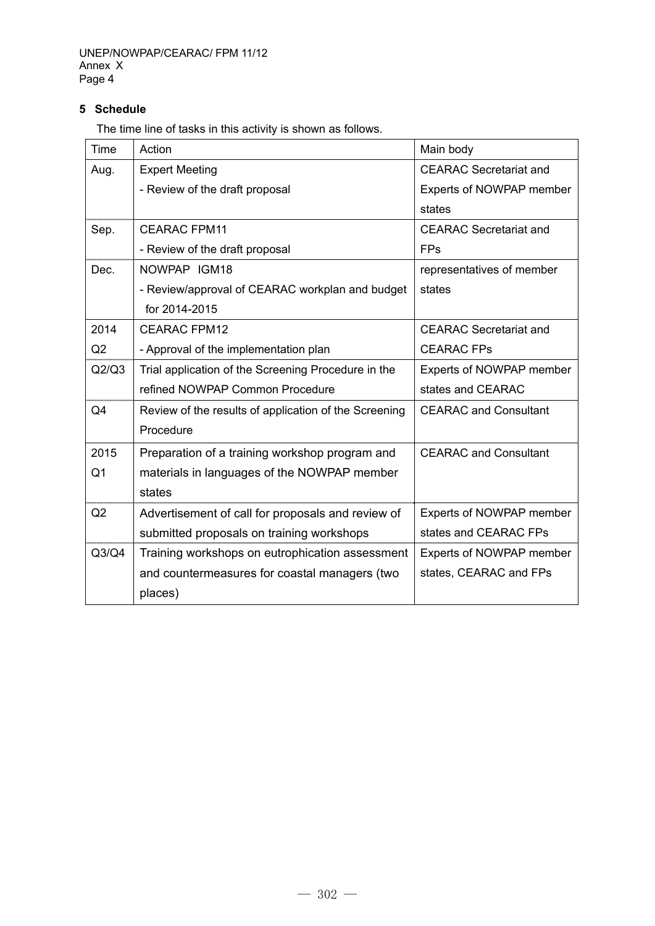## **5 Schedule**

The time line of tasks in this activity is shown as follows.

| <b>Time</b> | Action                                                | Main body                     |
|-------------|-------------------------------------------------------|-------------------------------|
| Aug.        | <b>Expert Meeting</b>                                 | <b>CEARAC</b> Secretariat and |
|             | - Review of the draft proposal                        | Experts of NOWPAP member      |
|             |                                                       | states                        |
| Sep.        | <b>CEARAC FPM11</b>                                   | <b>CEARAC Secretariat and</b> |
|             | - Review of the draft proposal                        | <b>FPs</b>                    |
| Dec.        | NOWPAP IGM18                                          | representatives of member     |
|             | - Review/approval of CEARAC workplan and budget       | states                        |
|             | for 2014-2015                                         |                               |
| 2014        | <b>CEARAC FPM12</b>                                   | <b>CEARAC</b> Secretariat and |
| Q2          | - Approval of the implementation plan                 | <b>CEARAC FPs</b>             |
| Q2/Q3       | Trial application of the Screening Procedure in the   | Experts of NOWPAP member      |
|             | refined NOWPAP Common Procedure                       | states and CEARAC             |
| Q4          | Review of the results of application of the Screening | <b>CEARAC and Consultant</b>  |
|             | Procedure                                             |                               |
| 2015        | Preparation of a training workshop program and        | <b>CEARAC and Consultant</b>  |
| Q1          | materials in languages of the NOWPAP member           |                               |
|             | states                                                |                               |
| Q2          | Advertisement of call for proposals and review of     | Experts of NOWPAP member      |
|             | submitted proposals on training workshops             | states and CEARAC FPs         |
| Q3/Q4       | Training workshops on eutrophication assessment       | Experts of NOWPAP member      |
|             | and countermeasures for coastal managers (two         | states, CEARAC and FPs        |
|             | places)                                               |                               |